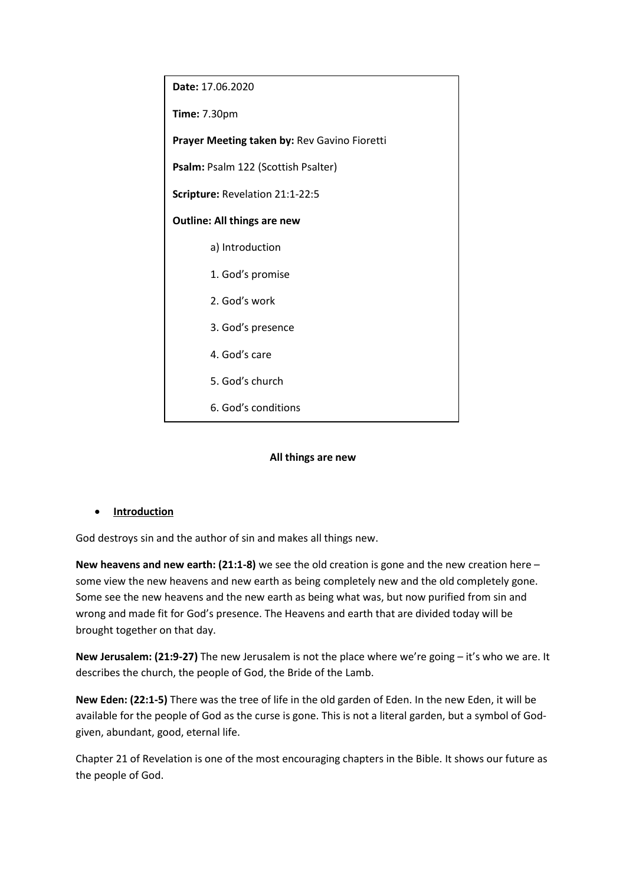

#### **All things are new**

**Introduction**

God destroys sin and the author of sin and makes all things new.

**New heavens and new earth: (21:1-8)** we see the old creation is gone and the new creation here – some view the new heavens and new earth as being completely new and the old completely gone. Some see the new heavens and the new earth as being what was, but now purified from sin and wrong and made fit for God's presence. The Heavens and earth that are divided today will be brought together on that day.

**New Jerusalem: (21:9-27)** The new Jerusalem is not the place where we're going – it's who we are. It describes the church, the people of God, the Bride of the Lamb.

**New Eden: (22:1-5)** There was the tree of life in the old garden of Eden. In the new Eden, it will be available for the people of God as the curse is gone. This is not a literal garden, but a symbol of Godgiven, abundant, good, eternal life.

Chapter 21 of Revelation is one of the most encouraging chapters in the Bible. It shows our future as the people of God.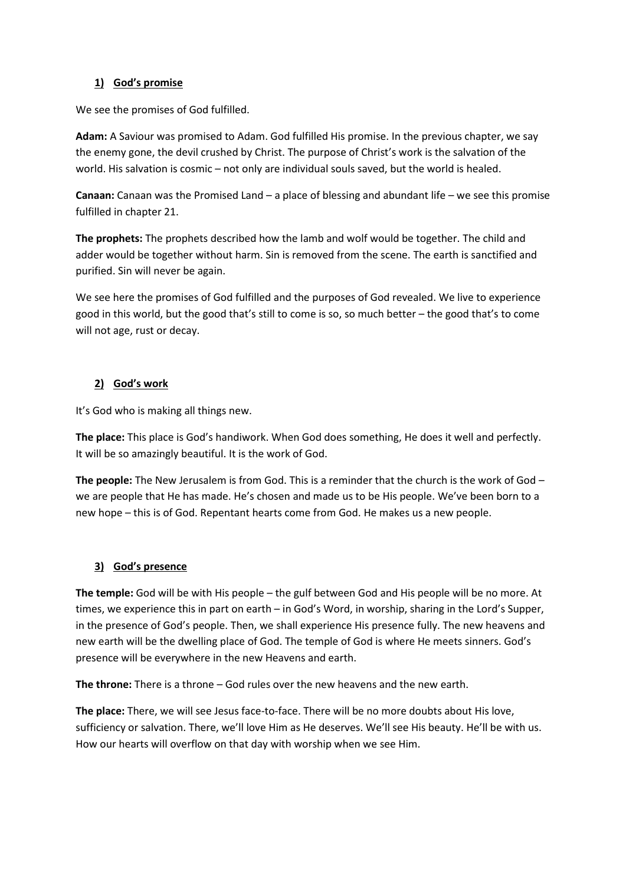#### **1) God's promise**

We see the promises of God fulfilled.

**Adam:** A Saviour was promised to Adam. God fulfilled His promise. In the previous chapter, we say the enemy gone, the devil crushed by Christ. The purpose of Christ's work is the salvation of the world. His salvation is cosmic – not only are individual souls saved, but the world is healed.

**Canaan:** Canaan was the Promised Land – a place of blessing and abundant life – we see this promise fulfilled in chapter 21.

**The prophets:** The prophets described how the lamb and wolf would be together. The child and adder would be together without harm. Sin is removed from the scene. The earth is sanctified and purified. Sin will never be again.

We see here the promises of God fulfilled and the purposes of God revealed. We live to experience good in this world, but the good that's still to come is so, so much better – the good that's to come will not age, rust or decay.

#### **2) God's work**

It's God who is making all things new.

**The place:** This place is God's handiwork. When God does something, He does it well and perfectly. It will be so amazingly beautiful. It is the work of God.

**The people:** The New Jerusalem is from God. This is a reminder that the church is the work of God – we are people that He has made. He's chosen and made us to be His people. We've been born to a new hope – this is of God. Repentant hearts come from God. He makes us a new people.

### **3) God's presence**

**The temple:** God will be with His people – the gulf between God and His people will be no more. At times, we experience this in part on earth – in God's Word, in worship, sharing in the Lord's Supper, in the presence of God's people. Then, we shall experience His presence fully. The new heavens and new earth will be the dwelling place of God. The temple of God is where He meets sinners. God's presence will be everywhere in the new Heavens and earth.

**The throne:** There is a throne – God rules over the new heavens and the new earth.

**The place:** There, we will see Jesus face-to-face. There will be no more doubts about His love, sufficiency or salvation. There, we'll love Him as He deserves. We'll see His beauty. He'll be with us. How our hearts will overflow on that day with worship when we see Him.